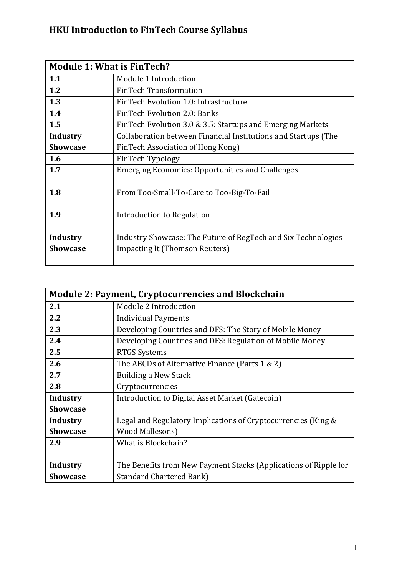## **HKU Introduction to FinTech Course Syllabus**

| <b>Module 1: What is FinTech?</b> |                                                                |
|-----------------------------------|----------------------------------------------------------------|
| 1.1                               | Module 1 Introduction                                          |
| 1.2                               | <b>FinTech Transformation</b>                                  |
| 1.3                               | FinTech Evolution 1.0: Infrastructure                          |
| 1.4                               | FinTech Evolution 2.0: Banks                                   |
| 1.5                               | FinTech Evolution 3.0 & 3.5: Startups and Emerging Markets     |
| <b>Industry</b>                   | Collaboration between Financial Institutions and Startups (The |
| <b>Showcase</b>                   | FinTech Association of Hong Kong)                              |
| 1.6                               | FinTech Typology                                               |
| 1.7                               | <b>Emerging Economics: Opportunities and Challenges</b>        |
| 1.8                               | From Too-Small-To-Care to Too-Big-To-Fail                      |
| 1.9                               | Introduction to Regulation                                     |
| <b>Industry</b>                   | Industry Showcase: The Future of RegTech and Six Technologies  |
| <b>Showcase</b>                   | <b>Impacting It (Thomson Reuters)</b>                          |

| <b>Module 2: Payment, Cryptocurrencies and Blockchain</b> |                                                                  |
|-----------------------------------------------------------|------------------------------------------------------------------|
| 2.1                                                       | Module 2 Introduction                                            |
| 2.2                                                       | Individual Payments                                              |
| 2.3                                                       | Developing Countries and DFS: The Story of Mobile Money          |
| 2.4                                                       | Developing Countries and DFS: Regulation of Mobile Money         |
| 2.5                                                       | <b>RTGS Systems</b>                                              |
| 2.6                                                       | The ABCDs of Alternative Finance (Parts 1 & 2)                   |
| 2.7                                                       | <b>Building a New Stack</b>                                      |
| 2.8                                                       | Cryptocurrencies                                                 |
| <b>Industry</b>                                           | Introduction to Digital Asset Market (Gatecoin)                  |
| <b>Showcase</b>                                           |                                                                  |
| Industry                                                  | Legal and Regulatory Implications of Cryptocurrencies (King &    |
| <b>Showcase</b>                                           | <b>Wood Mallesons)</b>                                           |
| 2.9                                                       | What is Blockchain?                                              |
|                                                           |                                                                  |
| <b>Industry</b>                                           | The Benefits from New Payment Stacks (Applications of Ripple for |
| <b>Showcase</b>                                           | <b>Standard Chartered Bank)</b>                                  |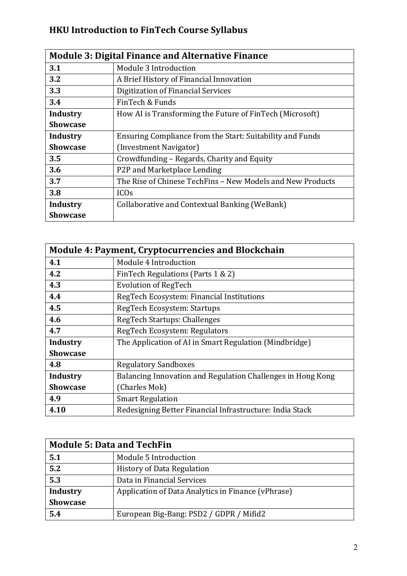## **HKU Introduction to FinTech Course Syllabus**

| <b>Module 3: Digital Finance and Alternative Finance</b> |                                                            |
|----------------------------------------------------------|------------------------------------------------------------|
| 3.1                                                      | Module 3 Introduction                                      |
| 3.2                                                      | A Brief History of Financial Innovation                    |
| 3.3                                                      | Digitization of Financial Services                         |
| 3.4                                                      | FinTech & Funds                                            |
| <b>Industry</b>                                          | How AI is Transforming the Future of FinTech (Microsoft)   |
| <b>Showcase</b>                                          |                                                            |
| Industry                                                 | Ensuring Compliance from the Start: Suitability and Funds  |
| <b>Showcase</b>                                          | (Investment Navigator)                                     |
| 3.5                                                      | Crowdfunding - Regards, Charity and Equity                 |
| 3.6                                                      | P2P and Marketplace Lending                                |
| 3.7                                                      | The Rise of Chinese TechFins - New Models and New Products |
| 3.8                                                      | <b>ICOs</b>                                                |
| Industry                                                 | Collaborative and Contextual Banking (WeBank)              |
| Showcase                                                 |                                                            |

| <b>Module 4: Payment, Cryptocurrencies and Blockchain</b> |                                                             |
|-----------------------------------------------------------|-------------------------------------------------------------|
| 4.1                                                       | Module 4 Introduction                                       |
| 4.2                                                       | FinTech Regulations (Parts 1 & 2)                           |
| 4.3                                                       | <b>Evolution of RegTech</b>                                 |
| 4.4                                                       | RegTech Ecosystem: Financial Institutions                   |
| 4.5                                                       | RegTech Ecosystem: Startups                                 |
| 4.6                                                       | RegTech Startups: Challenges                                |
| 4.7                                                       | RegTech Ecosystem: Regulators                               |
| <b>Industry</b>                                           | The Application of AI in Smart Regulation (Mindbridge)      |
| <b>Showcase</b>                                           |                                                             |
| 4.8                                                       | <b>Regulatory Sandboxes</b>                                 |
| <b>Industry</b>                                           | Balancing Innovation and Regulation Challenges in Hong Kong |
| <b>Showcase</b>                                           | (Charles Mok)                                               |
| 4.9                                                       | <b>Smart Regulation</b>                                     |
| 4.10                                                      | Redesigning Better Financial Infrastructure: India Stack    |

| <b>Module 5: Data and TechFin</b> |                                                    |
|-----------------------------------|----------------------------------------------------|
| 5.1                               | Module 5 Introduction                              |
| 5.2                               | <b>History of Data Regulation</b>                  |
| 5.3                               | Data in Financial Services                         |
| <b>Industry</b>                   | Application of Data Analytics in Finance (vPhrase) |
| <b>Showcase</b>                   |                                                    |
| 5.4                               | European Big-Bang: PSD2 / GDPR / Mifid2            |